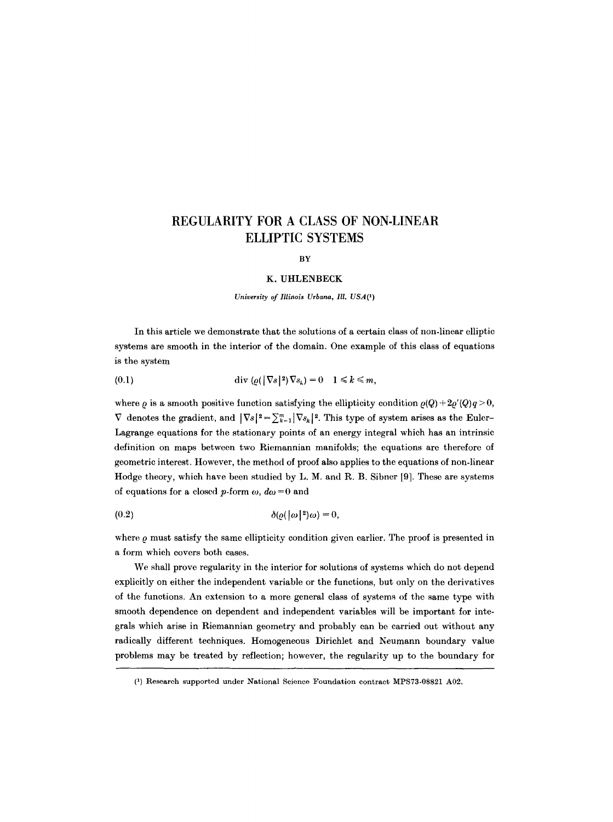# **REGULARITY FOR A CLASS OF NON-LINEAR ELLIPTIC SYSTEMS**

#### BY

#### K. UHLENBECK

*University of Illinois Urbana, Ill. USA(l)* 

In this article we demonstrate that the solutions of a certain class of non-linear elliptic systems are smooth in the interior of the domain. One example of this class of equations is the system

(0.1) 
$$
\operatorname{div} ( \varrho (|\nabla s|^2) \nabla s_k ) = 0 \quad 1 \leq k \leq m,
$$

where  $\rho$  is a smooth positive function satisfying the ellipticity condition  $\rho(Q) + 2\rho'(Q)q > 0$ ,  $\nabla$  denotes the gradient, and  $|\nabla s|^2 = \sum_{k=1}^m |\nabla s_k|^2$ . This type of system arises as the Euler-Lagrange equations for the stationary points of an energy integral which has an intrinsic definition on maps between two Riemannian manifolds; the equations are therefore of geometric interest. However, the method of proof also applies to the equations of non-linear Hodge theory, which have been studied by L. M. and R. B. Sibner 19]. These are systems of equations for a closed p-form  $\omega$ ,  $d\omega = 0$  and

$$
(0.2) \qquad \delta(\varrho(\lvert \omega \rvert^2)\omega) = 0,
$$

where  $\rho$  must satisfy the same ellipticity condition given earlier. The proof is presented in a form which covers both cases.

We shall prove regularity in the interior for solutions of systems which do not depend explicitly on either the independent variable or the functions, but only on the derivatives of the functions. An extension to a more general class of systems of the same type with smooth dependence on dependent and independent variables will be important for integrals which arise in Riemannian geometry and probably can be carried out without any radically different techniques. Homogeneous Dirichlet and Neumann boundary value problems may be treated by reflection; however, the regularity up to the boundary for

<sup>(1)</sup> Research supported under National Science Foundation contract MPS73-08821 A02.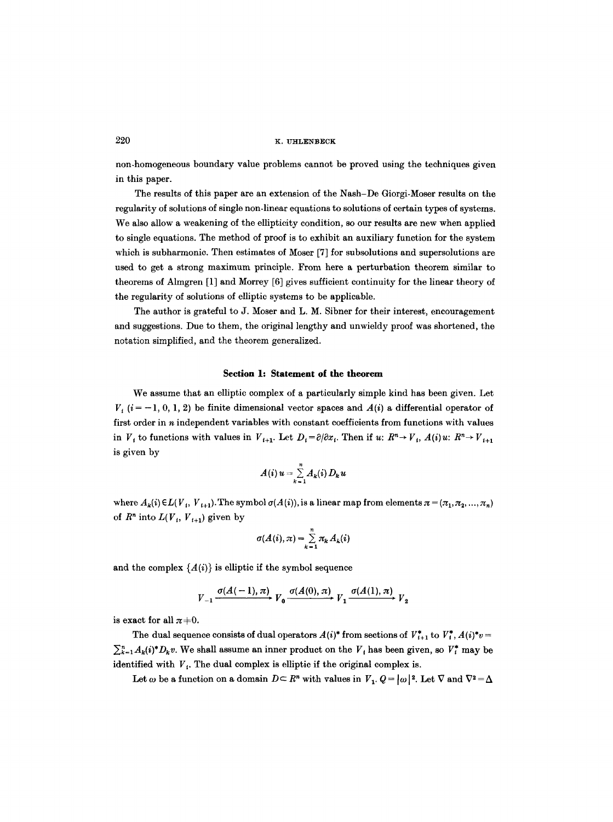non-homogeneous boundary value problems cannot be proved using the techniques given in this paper.

The results of this paper are an extension of the Nash-De Giorgi-Moser results on the regularity of solutions of single non-linear equations to solutions of certain types of systems. We also allow a weakening of the ellipticity condition, so our results are new when applied to single equations. The method of proof is to exhibit an auxiliary function for the system which is subharmonic. Then estimates of Moser [7] for subsolutions and supersolutions are used to get a strong maximum principle. From here a perturbation theorem similar to theorems of Almgren [1] and Morrey [6] gives sufficient continuity for the linear theory of the regularity of solutions of elliptic systems to be applicable.

The author is grateful to J. Moser and L. M. Sibner for their interest, encouragement and suggestions. Due to them, the original lengthy and unwieldy proof was shortened, the notation simplified, and the theorem generalized.

#### **Section 1: Statement of the theorem**

We assume that an elliptic complex of a particularly simple kind has been given. Let  $V_{t}$  ( $i = -1, 0, 1, 2$ ) be finite dimensional vector spaces and  $A(i)$  a differential operator of first order in  $n$  independent variables with constant coefficients from functions with values in  $V_t$  to functions with values in  $V_{t+1}$ . Let  $D_t = \partial/\partial x_t$ . Then if  $u: R^n \to V_t$ ,  $A(i)u: R^n \to V_{t+1}$ is given by

$$
A(i)u=\sum_{k=1}^n A_k(i) D_k u
$$

where  $A_k(i) \in L(V_i, V_{i+1})$ . The symbol  $\sigma(A(i))$ , is a linear map from elements  $\pi = (\pi_1, \pi_2, ..., \pi_n)$ of  $R^n$  into  $L(V_i, V_{i+1})$  given by

$$
\sigma(A(i),\pi) = \sum_{k=1}^n \pi_k A_k(i)
$$

and the complex  ${A(i)}$  is elliptic if the symbol sequence

$$
V_{-1} \xrightarrow{\sigma(A(-1), \pi)} V_0 \xrightarrow{\sigma(A(0), \pi)} V_1 \xrightarrow{\sigma(A(1), \pi)} V_2
$$

is exact for all  $\pi+0$ .

The dual sequence consists of dual operators  $A(i)^*$  from sections of  $V_{i+1}^*$  to  $V_i^*$ ,  $A(i)^*v =$  $\sum_{k=1}^{n} A_k(i)^* D_k v$ . We shall assume an inner product on the  $V_i$  has been given, so  $V_i^*$  may be identified with  $V<sub>i</sub>$ . The dual complex is elliptic if the original complex is.

Let  $\omega$  be a function on a domain  $D \subset \mathbb{R}^n$  with values in  $V_1$ .  $Q = |\omega|^2$ . Let  $\nabla$  and  $\nabla^2 = \Delta$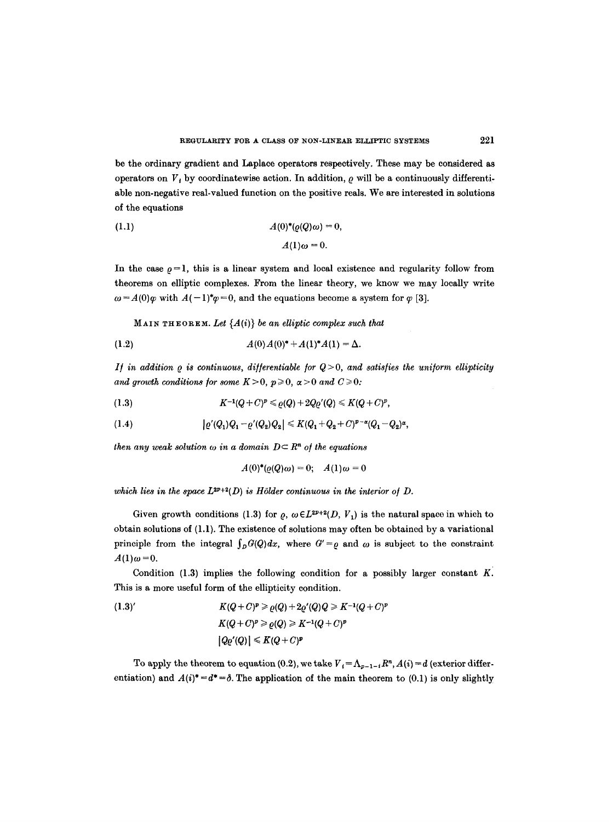be the ordinary gradient and Laplace operators respectively. These may be considered as operators on  $V_i$ , by coordinatewise action. In addition,  $\rho$  will be a continuously differentiable non-negative real-valued function on the positive reals. We are interested in solutions of the equations

(1.1) 
$$
A(0)^*(\varrho(Q)\omega) = 0,
$$

$$
A(1)\omega = 0.
$$

In the case  $\rho = 1$ , this is a linear system and local existence and regularity follow from theorems on elliptic complexes. From the linear theory, we know we may locally write  $\omega = A(0)\varphi$  with  $A(-1)^*\varphi = 0$ , and the equations become a system for  $\varphi$  [3].

 $M$ AIN THEOREM. Let  ${A(i)}$  be an elliptic complex such that

(1.2) 
$$
A(0) A(0)^* + A(1)^* A(1) = \Delta.
$$

*If in addition*  $\rho$  *is continuous, differentiable for*  $Q > 0$ *, and satisfies the uniform ellipticity* and growth conditions for some  $K > 0$ ,  $p \ge 0$ ,  $\alpha > 0$  and  $C \ge 0$ :

(1.3) 
$$
K^{-1}(Q+C)^p \leqslant \varrho(Q) + 2Q\varrho'(Q) \leqslant K(Q+C)^p,
$$

(1.4) 
$$
|\varrho'(Q_1)Q_1 - \varrho'(Q_2)Q_2| \leq K(Q_1 + Q_2 + C)^{p-\alpha}(Q_1 - Q_2)^{\alpha},
$$

*then any weak solution*  $\omega$  *in a domain*  $D \subset \mathbb{R}^n$  *of the equations* 

$$
A(0)^*(\varrho(Q)\omega) = 0; \quad A(1)\omega = 0
$$

which lies in the space  $L^{2p+2}(D)$  is Hölder continuous in the interior of D.

Given growth conditions (1.3) for  $\rho$ ,  $\omega \in L^{2p+2}(D, V_1)$  is the natural space in which to obtain solutions of (1.1). The existence of solutions may often be obtained by a variational principle from the integral  $\int_D G(Q)dx$ , where  $G' = \rho$  and  $\omega$  is subject to the constraint  $A(1)\omega = 0.$ 

Condition (1.3) implies the following condition for a possibly larger constant  $K$ . This is a more useful form of the ellipticity condition.

(1.3)'  
\n
$$
K(Q+C)^p \geqslant \varrho(Q) + 2\varrho'(Q)Q \geqslant K^{-1}(Q+C)^p
$$
\n
$$
K(Q+C)^p \geqslant \varrho(Q) \geqslant K^{-1}(Q+C)^p
$$
\n
$$
|Q\varrho'(Q)| \leqslant K(Q+C)^p
$$

To apply the theorem to equation (0.2), we take  $V_t = \Lambda_{p-1-t} R^n$ ,  $A(i) = d$  (exterior differentiation) and  $A(i)^* = d^* = \delta$ . The application of the main theorem to (0.1) is only slightly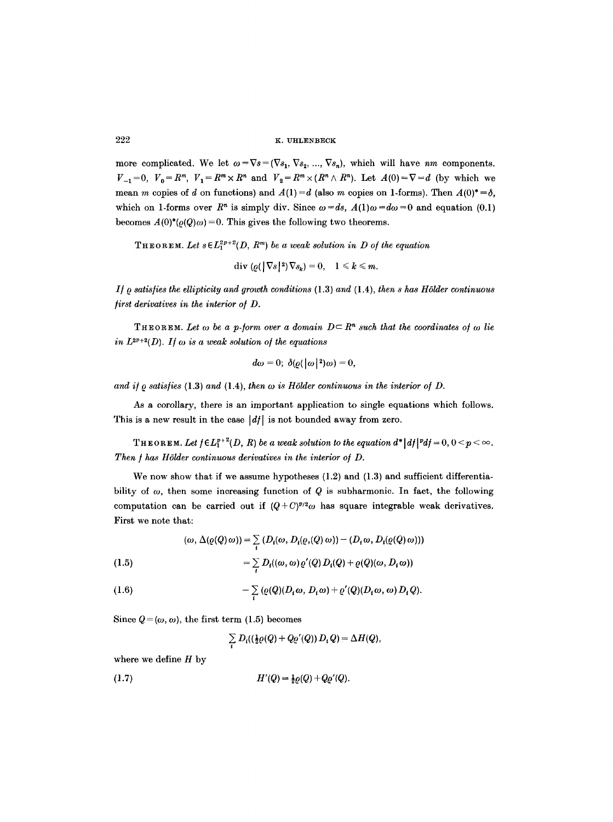more complicated. We let  $\omega = \nabla s = (\nabla s_1, \nabla s_2, ..., \nabla s_n)$ , which will have *nm* components.  $V_{-1}=0$ ,  $V_0=R^m$ ,  $V_1=R^m\times R^n$  and  $V_2=R^m\times (R^n\wedge R^n)$ . Let  $A(0)=\nabla=d$  (by which we mean m copies of d on functions) and  $A(1)=d$  (also m copies on 1-forms). Then  $A(0)^* = \delta$ , which on 1-forms over  $R^n$  is simply div. Since  $\omega = ds$ ,  $A(1)\omega = d\omega = 0$  and equation (0.1) becomes  $A(0)^*(\rho(Q)\omega)=0$ . This gives the following two theorems.

THEOREM. Let  $s \in L_1^{2p+2}(D, R^m)$  be a weak solution in D of the equation

 $\text{div}(\rho(|\nabla s|^2)\nabla s_k)=0, \quad 1 \leq k \leq m.$ 

*I/~ satisfies the ellipticity and growth conditions* (1.3) *and* (1.4), *then s has HSlder continuous first derivatives in the interior o/D.* 

**THEOREM.** Let  $\omega$  be a p-form over a domain  $D \subset R^n$  such that the coordinates of  $\omega$  lie in  $L^{2p+2}(D)$ . If  $\omega$  is a weak solution of the equations

$$
d\omega=0;\;\delta(\varrho(\left|\omega\right|^2)\omega)=0,
$$

and if  $\varrho$  satisfies (1.3) and (1.4), then  $\omega$  is Hölder continuous in the interior of  $D$ .

As a corollary, there is an important application to single equations which follows. This is a new result in the case  $\left| d \right|$  is not bounded away from zero.

**THEOREM.** Let  $f \in L_1^{p+2}(D, R)$  be a weak solution to the equation  $d^* |df|^{p} d f = 0, 0 < p < \infty$ . *Then / has HSlder continuous derivatives in the interior o/D.* 

We now show that if we assume hypotheses  $(1.2)$  and  $(1.3)$  and sufficient differentiability of  $\omega$ , then some increasing function of Q is subharmonic. In fact, the following computation can be carried out if  $(Q+C)^{p/q}\omega$  has square integrable weak derivatives. First we note that:

$$
(\omega, \Delta(\varrho(Q) \omega)) = \sum_i (D_i(\omega, D_i(\varrho, Q) \omega)) - (D_i \omega, D_i(\varrho(Q) \omega)))
$$

(1.5) 
$$
= \sum_i D_i((\omega, \omega) \varrho'(Q) D_i(Q) + \varrho(Q)(\omega, D_i \omega))
$$

(1.6) 
$$
- \sum_i (\varrho(Q)(D_i \omega, D_i \omega) + \varrho'(Q)(D_i \omega, \omega) D_i Q).
$$

Since  $Q = (\omega, \omega)$ , the first term (1.5) becomes

 $\sum_{i} D_{i}((\frac{1}{2}\varrho(Q) + Q\varrho'(Q)) D_{i} Q) = \Delta H(Q),$ 

where we define  $H$  by

(1.7) 
$$
H'(Q) = \frac{1}{2} \varrho(Q) + Q \varrho'(Q).
$$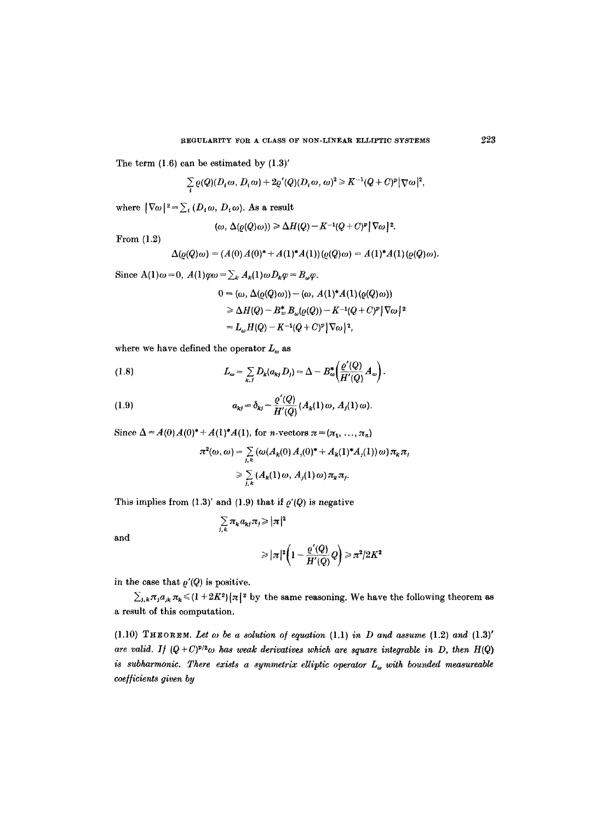The term  $(1.6)$  can be estimated by  $(1.3)'$ 

$$
\sum_{i} \varrho(Q)(D_i \omega, D_i \omega) + 2\varrho'(Q)(D_i \omega, \omega)^2 \geq K^{-1}(Q+C)^p |\nabla \omega|^2,
$$

where  $|\nabla \omega|^2 = \sum_i (D_i \omega, D_i \omega)$ . As a result

$$
(\omega, \Delta(\varrho(Q)\omega)) \geq \Delta H(Q) - K^{-1}(Q+C)^p |\nabla \omega|^2.
$$

From (1.2)

$$
\Delta(\varrho(Q)\omega) = (A(0)A(0)^* + A(1)^*A(1))(\varrho(Q)\omega) = A(1)^*A(1)(\varrho(Q)\omega)
$$

Since  $A(1)\omega = 0$ ,  $A(1)\varphi\omega = \sum_k A_k(1)\omega D_k\varphi = B_\omega \varphi$ .

$$
0 = (\omega, \Delta(\varrho(Q)\omega)) - (\omega, A(1)^*A(1)(\varrho(Q)\omega))
$$
  
\n
$$
\geq \Delta H(Q) - B^*_{\omega}B_{\omega}(\varrho(Q)) - K^{-1}(Q + C)^p |\nabla\omega|^2
$$
  
\n
$$
= L_{\omega}H(Q) - K^{-1}(Q + C)^p |\nabla\omega|^2,
$$

where we have defined the operator  $L_{\omega}$  as

(1.8) 
$$
L_{\omega} = \sum_{k,j} D_k(a_{kj} D_j) = \Delta - B_{\omega}^* \left( \frac{\varrho'(Q)}{H'(Q)} A_{\omega} \right).
$$

(1.9) 
$$
a_{kj} = \delta_{kj} - \frac{\varrho'(Q)}{H'(Q)} (A_k(1)\omega, A_j(1)\omega).
$$

Since  $\Delta = A(0) A(0)^* + A(1)^* A(1)$ , for *n*-vectors  $\pi = (\pi_1, ..., \pi_n)$ 

$$
\pi^2(\omega,\omega) = \sum_{j,k} \left( \omega(A_k(0) A_j(0)^* + A_k(1)^* A_j(1)) \omega \right) \pi_k \pi_j
$$
  

$$
\geq \sum_{j,k} \left( A_k(1) \omega, A_j(1) \omega \right) \pi_k \pi_j.
$$

This implies from  $(1.3)'$  and  $(1.9)$  that if  $\rho'(Q)$  is negative

$$
\sum_{j,k} \pi_k a_{kj} \pi_j \ge |\pi|^2
$$
  

$$
\ge |\pi|^2 \left(1 - \frac{\varrho'(Q)}{H'(Q)}Q\right) \ge \pi^2/2K^2
$$

in the case that  $\rho'(Q)$  is positive.

and

 $\sum_{i,k}\pi_i a_{ik}\pi_k \leq (1+2K^2)|\pi|^2$  by the same reasoning. We have the following theorem as a result of this computation.

(1.10) **THEOREM.** Let  $\omega$  be a solution of equation (1.1) in D and assume (1.2) and (1.3)' are valid. If  $(Q+C)^{p/2}\omega$  has weak derivatives which are square integrable in D, then H(Q) *is subharmonic. There exists a symmetrix elliptic operator*  $L_{\omega}$  with bounded measureable *coefficients given by*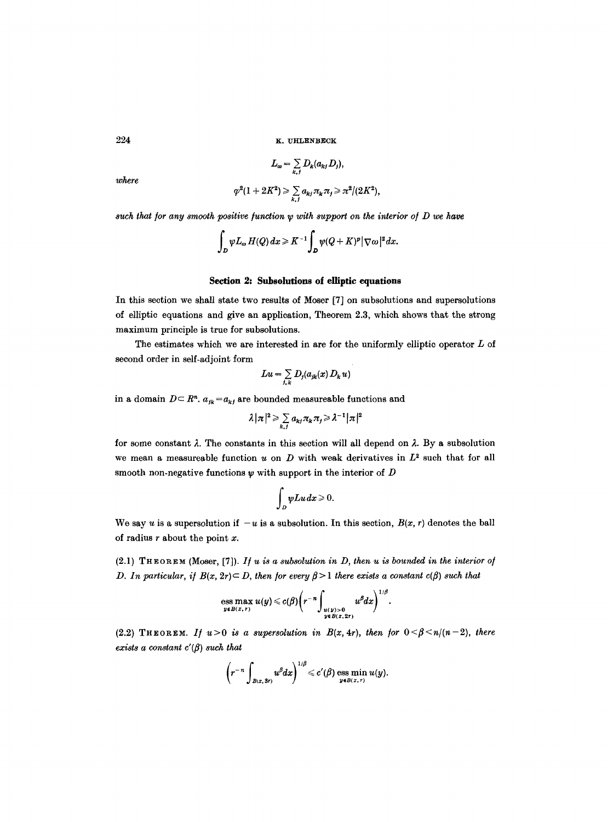$$
L_{\omega} = \sum_{k,j} D_k(a_{kj} D_j),
$$

*where* 

$$
\varphi^2(1+2K^2) \geqslant \sum_{k,j} a_{kj} \pi_k \pi_j \geqslant \pi^2/(2K^2),
$$

*such that for any smooth positive function w with support on the interior of D we have* 

$$
\int_D \psi L_\omega H(Q)\,dx\geqslant K^{-1}\int_D \psi (Q+K)^p|\nabla \omega|^2\,dx.
$$

## Section 2: Subsolutions of elliptic equations

In this section we shall state two results of Moser [7] on subsolutions and supersolutions of elliptic equations and give an application, Theorem 2.3, which shows that the strong maximum principle is true for subsolutions.

The estimates which we are interested in are for the uniformly elliptic operator  $L$  of second order in self-adjoint form

$$
Lu = \sum_{j,k} D_j(a_{jk}(x) D_k u)
$$

in a domain  $D \subset \mathbb{R}^n$ .  $a_{jk} = a_{kj}$  are bounded measureable functions and

$$
\lambda |\pi|^2 \geqslant \sum_{k,j} a_{kj} \pi_k \pi_j \geqslant \lambda^{-1} |\pi|^2
$$

for some constant  $\lambda$ . The constants in this section will all depend on  $\lambda$ . By a subsolution we mean a measureable function u on D with weak derivatives in  $L^2$  such that for all smooth non-negative functions  $\psi$  with support in the interior of  $D$ 

$$
\int_D \psi Lu\,dx\geqslant 0.
$$

We say u is a supersolution if  $-u$  is a subsolution. In this section,  $B(x, r)$  denotes the ball of radius  $r$  about the point  $x$ .

 $(2.1)$  THEOREM (Moser, [7]). *If u is a subsolution in D, then u is bounded in the interior of D. In particular, if*  $B(x, 2r) \subset D$ , then for every  $\beta > 1$  there exists a constant  $c(\beta)$  such that

ess max 
$$
u(y) \leq c(\beta) \left(r^{-n} \int_{\substack{u(y)>0 \ y \in B(x,2r)}} u^{\beta} dx\right)^{1/\beta}
$$
.

(2.2) THEOREM. *If*  $u>0$  *is a supersolution in B(x, 4r), then for*  $0 < \beta < n/(n-2)$ , there *exists a constant*  $c'(\beta)$  *such that* 

$$
\left(r^{-n}\int_{B(x,3r)}u^{\beta}dx\right)^{1/\beta}\leqslant c'(\beta)\operatorname*{ess\; min}_{y\in B(x,r)}u(y).
$$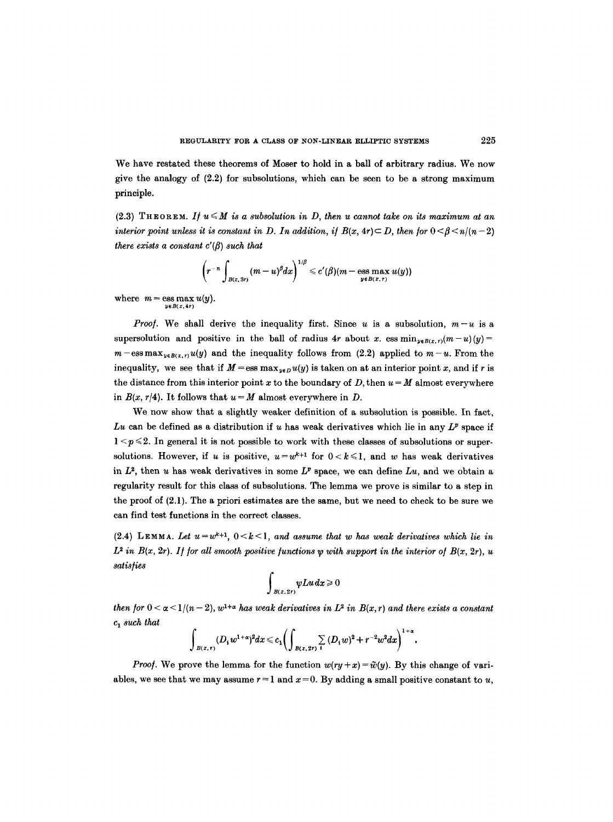We have restated these theorems of Moser to hold in a ball of arbitrary radius. We now give the analogy of  $(2.2)$  for subsolutions, which can be seen to be a strong maximum principle.

 $(2.3)$  THEOREM. If  $u \leq M$  is a subsolution in D, then u cannot take on its maximum at an *interior point unless it is constant in D. In addition, if*  $B(x, 4r) \subset D$ *, then for*  $0 \leq \beta \leq n/(n-2)$ *there exists a constant*  $c'(\beta)$  *such that* 

$$
\left(r^{-n}\int_{B(x,3r)}(m-u)^{\beta}dx\right)^{1/\beta}\leqslant c'(\beta)(m-\operatorname*{ess\; max}_{y\in B(x,r)}u(y))
$$

where  $m = \text{ess max } u(y)$ . *yeB(x,4r)* 

*Proof.* We shall derive the inequality first. Since u is a subsolution,  $m-u$  is a supersolution and positive in the ball of radius 4r about x. ess  $\min_{y \in B(x,r)}(m-u)(y)$ =  $m-\text{ess max}_{u \in B(x,r)}u(y)$  and the inequality follows from (2.2) applied to  $m-u$ . From the inequality, we see that if  $M = \text{ess max}_{y \in D} u(y)$  is taken on at an interior point x, and if r is the distance from this interior point x to the boundary of D, then  $u = M$  almost everywhere in  $B(x, r/4)$ . It follows that  $u = M$  almost everywhere in D.

We now show that a slightly weaker definition of a subsolution is possible. In fact, *Lu* can be defined as a distribution if u has weak derivatives which lie in any  $L^p$  space if  $1 < p \le 2$ . In general it is not possible to work with these classes of subsolutions or supersolutions. However, if u is positive,  $u=w^{k+1}$  for  $0 < k \leq 1$ , and w has weak derivatives in  $L^2$ , then u has weak derivatives in some  $L^p$  space, we can define  $Lu$ , and we obtain a regularity result for this class of subsolutions. The lemma we prove is similar to a step in the proof of (2.1). The a priori estimates are the same, but we need to check to be sure we can find test functions in the correct classes.

(2.4) LEMMA. Let  $u=w^{k+1}$ ,  $0 < k < 1$ , and assume that w has weak derivatives which lie in  $L^2$  in  $B(x, 2r)$ . If for all smooth positive functions  $\psi$  with support in the interior of  $B(x, 2r)$ , u *satisfies* 

$$
\int_{B(x, 2r)} \psi L u \, dx \geq 0
$$

*then for*  $0 < \alpha < 1/(n-2)$ ,  $w^{1+\alpha}$  has weak derivatives in  $L^2$  in  $B(x, r)$  and there exists a constant *c 1 such that* 

$$
\int_{B(x,r)} (D_i w^{1+\alpha})^2 dx \leq c_1 \bigg( \int_{B(x,2r)} \sum_i (D_i w)^2 + r^{-2} w^2 dx \bigg)^{1+\alpha}.
$$

*Proof.* We prove the lemma for the function  $w(ry + x) = \tilde{w}(y)$ . By this change of variables, we see that we may assume  $r = 1$  and  $x = 0$ . By adding a small positive constant to u,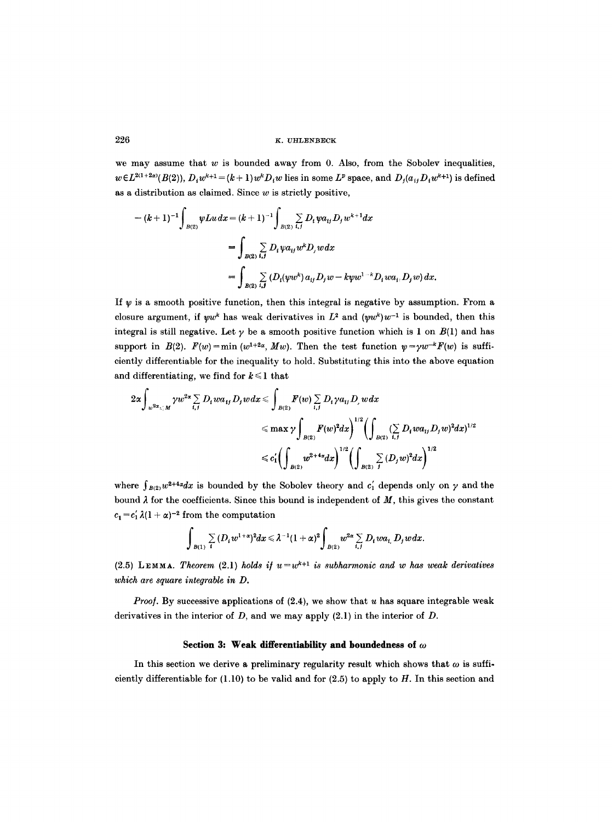we may assume that  $w$  is bounded away from 0. Also, from the Sobolev inequalities,  $w \in L^{2(1+2x)}(B(2)), D_1w^{k+1} = (k+1)w^kD_1w$  lies in some L<sup>p</sup> space, and  $D_i(a_{ij}D_iw^{k+1})$  is defined as a distribution as claimed. Since  $w$  is strictly positive,

$$
-(k+1)^{-1}\int_{B(2)}\psi Lu\,dx = (k+1)^{-1}\int_{B(2)}\sum_{i,j}D_{i}\psi a_{ij}D_{j}w^{k+1}dx
$$
  
= 
$$
\int_{B(2)}\sum_{i,j}D_{i}\psi a_{ij}w^{k}D_{j}w dx
$$
  
= 
$$
\int_{B(2)}\sum_{i,j}(D_{i}(\psi w^{k})a_{ij}D_{j}w-k\psi w^{1-k}D_{i}wa_{i}.D_{j}w)dx.
$$

If  $\psi$  is a smooth positive function, then this integral is negative by assumption. From a closure argument, if  $\psi w^k$  has weak derivatives in  $L^2$  and  $(\psi w^k)w^{-1}$  is bounded, then this integral is still negative. Let  $\gamma$  be a smooth positive function which is 1 on  $B(1)$  and has support in  $B(2)$ .  $F(w) = \min (w^{1+2\alpha}, Mw)$ . Then the test function  $\psi = \gamma w^{-k} F(w)$  is sufficiently differentiable for the inequality to hold. Substituting this into the above equation and differentiating, we find for  $k \leq 1$  that

$$
2\alpha \int_{w^{2\alpha} \leq M} \gamma w^{2\alpha} \sum_{i,j} D_i w a_{ij} D_j w dx \leq \int_{B(2)} F(w) \sum_{i,j} D_i \gamma a_{ij} D_j w dx
$$
  

$$
\leq \max \gamma \int_{B(2)} F(w)^2 dx \Big)^{1/2} \Biggl( \int_{B(2)} (\sum_{i,j} D_i w a_{ij} D_j w)^2 dx \Biggr)^{1/2}
$$
  

$$
\leq c_1' \Biggl( \int_{B(2)} w^{2+4\alpha} dx \Biggr)^{1/2} \Biggl( \int_{B(2)} \sum_{j} (D_j w)^2 dx \Biggr)^{1/2}
$$

where  $\int_{B(2)} w^{2+4\alpha} dx$  is bounded by the Sobolev theory and  $c'_1$  depends only on  $\gamma$  and the bound  $\lambda$  for the coefficients. Since this bound is independent of  $M$ , this gives the constant  $c_1 = c'_1 \lambda (1 + \alpha)^{-2}$  from the computation

$$
\int_{B(1)} \sum_i (D_i w^{1+\alpha})^2 dx \leq \lambda^{-1} (1+\alpha)^2 \int_{B(2)} w^{2\alpha} \sum_{i,j} D_i w a_{i,j} D_j w dx
$$

(2.5) LEMMA. *Theorem* (2.1) *holds if*  $u=w^{k+1}$  *is subharmonic and w has weak derivatives which are square integrable in D.* 

*Proof.* By successive applications of  $(2.4)$ , we show that u has square integrable weak derivatives in the interior of  $D$ , and we may apply  $(2.1)$  in the interior of  $D$ .

### Section 3: Weak differentiability and boundedness of  $\omega$

In this section we derive a preliminary regularity result which shows that  $\omega$  is sufficiently differentiable for  $(1.10)$  to be valid and for  $(2.5)$  to apply to H. In this section and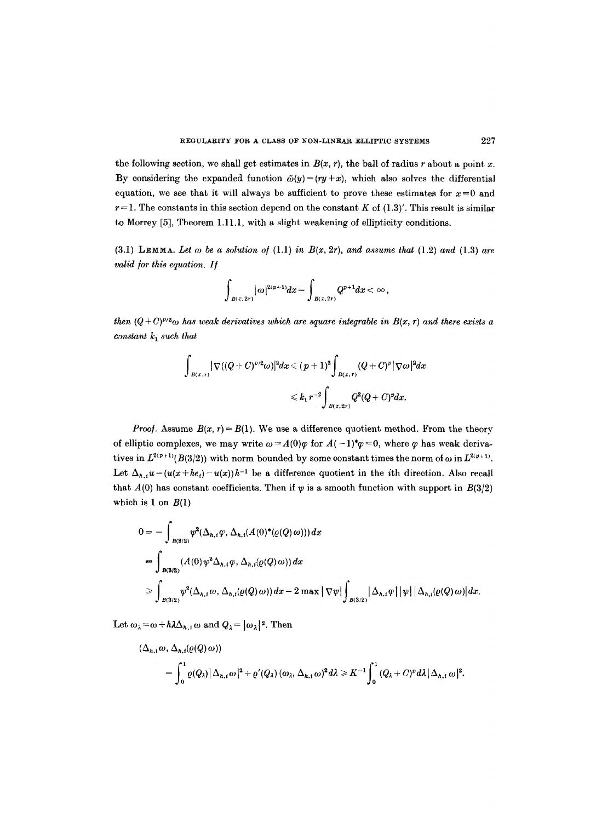the following section, we shall get estimates in  $B(x, r)$ , the ball of radius r about a point x. By considering the expanded function  $\tilde{\omega}(y)=(ry+x)$ , which also solves the differential equation, we see that it will always be sufficient to prove these estimates for  $x=0$  and  $r=1$ . The constants in this section depend on the constant K of  $(1.3)'$ . This result is similar to Morrey [5], Theorem 1.11.1, with a slight weakening of ellipticity conditions.

 $(3.1)$  LEMMA. Let  $\omega$  be a solution of  $(1.1)$  in  $B(x, 2r)$ , and assume that  $(1.2)$  and  $(1.3)$  are *valid for this equation. If* 

$$
\int_{B(x, 2r)} |\omega|^{2(p+1)} dx = \int_{B(x, 2r)} Q^{p+1} dx < \infty,
$$

*then*  $(Q + C)^{p/2}\omega$  has weak derivatives which are square integrable in  $B(x, r)$  and there exists a *constant*  $k_1$  *such that* 

$$
\begin{array}{lcl}&\displaystyle\int_{B(x,r)}|\nabla((Q+C)^{p/2}\omega)|^{2}dx\leqslant(p+1)^{2}\displaystyle\int_{B(x,r)}(Q+C)^{p}|\nabla\omega|^{2}dx\\&\leqslant k_{1}r^{-2}\displaystyle\int_{B(x,2r)}Q^{2}(Q+C)^{p}dx.\end{array}
$$

*Proof.* Assume  $B(x, r) = B(1)$ . We use a difference quotient method. From the theory of elliptic complexes, we may write  $\omega = A(0)\varphi$  for  $A(-1)^*\varphi = 0$ , where  $\varphi$  has weak derivatives in  $L^{2(p+1)}(B(3/2))$  with norm bounded by some constant times the norm of  $\omega$  in  $L^{2(p+1)}$ . Let  $\Delta_{h,i}u=(u(x+he_i)-u(x))h^{-1}$  be a difference quotient in the *i*th direction. Also recall that  $A(0)$  has constant coefficients. Then if  $\psi$  is a smooth function with support in  $B(3/2)$ which is 1 on  $B(1)$ 

$$
0 = -\int_{B(3/2)} \psi^2(\Delta_{h,i}\varphi, \Delta_{h,i}(A(0)^*(\varrho(Q)\omega))) dx
$$
  
= 
$$
\int_{B(3/2)} (A(0) \psi^2 \Delta_{h,i}\varphi, \Delta_{h,i}(\varrho(Q)\omega)) dx
$$
  

$$
\geq \int_{B(3/2)} \psi^2(\Delta_{h,i}\omega, \Delta_{h,i}(\varrho(Q)\omega)) dx - 2 \max |\nabla \psi| \int_{B(3/2)} |\Delta_{h,i}\varphi| |\psi| |\Delta_{h,i}(\varrho(Q)\omega)| dx.
$$

Let  $\omega_{\lambda}=\omega+h\lambda\Delta_{h,i}\omega$  and  $Q_{\lambda}=[\omega_{\lambda}]^2$ . Then

$$
(\Delta_{h,i}\omega,\Delta_{h,i}(\varrho(Q)\omega))
$$
  
= 
$$
\int_0^1 \varrho(Q_\lambda) |\Delta_{h,i}\omega|^2 + \varrho'(Q_\lambda) (\omega_\lambda,\Delta_{h,i}\omega)^2 d\lambda \geq K^{-1} \int_0^1 (Q_\lambda + C)^p d\lambda |\Delta_{h,i}\omega|^2.
$$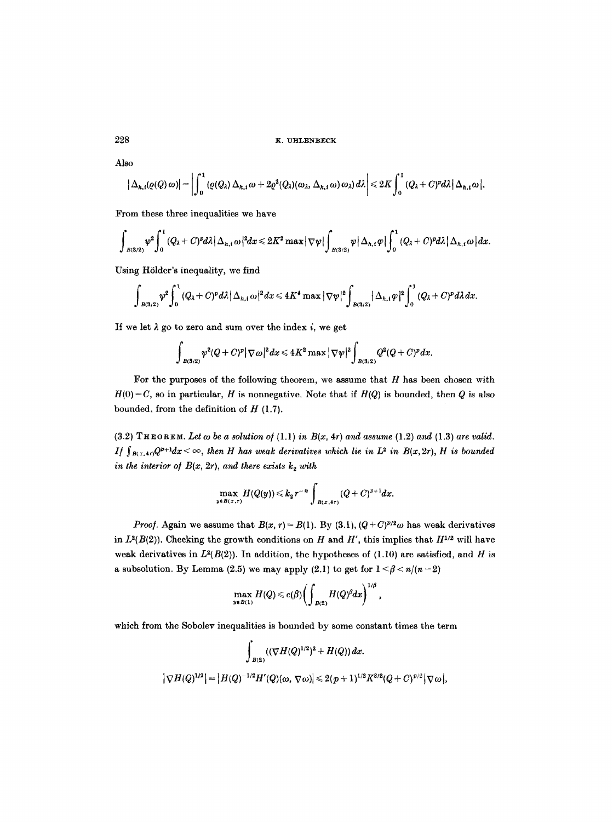Also

$$
\left|\Delta_{h,i}(\varrho(Q)\,\omega)\right|=\left|\int_0^1\left(\varrho(Q_\lambda)\,\Delta_{h,i}\,\omega+2\varrho^2(Q_\lambda)(\omega_\lambda,\,\Delta_{h,i}\,\omega)\,\omega_\lambda\right)d\lambda\right|\leqslant 2K\int_0^1\left(Q_\lambda+C)^pd\lambda\,\big|\,\Delta_{h,i}\,\omega\,\big|.
$$

From these three inequalities we have

$$
\int_{B(3/2)}\psi^2\int_0^1\left(Q_\lambda+C\right)^pd\lambda\left|\Delta_{h,i}\omega\right|^2dx\leqslant 2K^2\max\left|\nabla\psi\right|\int_{B(3/2)}\psi\left|\Delta_{h,i}\varphi\right|\int_0^1\left(Q_\lambda+C\right)^pd\lambda\left|\Delta_{h,i}\omega\right|dx.
$$

Using Hölder's inequality, we find

$$
\int_{B(3/2)}\varphi^2\int_0^1(Q_\lambda+C)^pd\lambda |\Delta_{h,i}\,\omega|^2dx\leqslant 4K^4\max|\nabla\psi|^2\int_{B(3/2)}|\Delta_{h,i}\,\varphi|^2\int_0^1(Q_\lambda+C)^pd\lambda dx.
$$

If we let  $\lambda$  go to zero and sum over the index i, we get

$$
\int_{B(3/2)}\psi^2(Q+C)^p|\nabla\omega|^2dx\leqslant 4K^2\max|\nabla\psi|^2\int_{B(3/2)}Q^2(Q+C)^pdx
$$

For the purposes of the following theorem, we assume that  $H$  has been chosen with  $H(0) = C$ , so in particular, *H* is nonnegative. Note that if  $H(Q)$  is bounded, then Q is also bounded, from the definition of  $H$  (1.7).

 $(3.2)$  THEOREM. Let  $\omega$  be a solution of  $(1.1)$  in  $B(x, 4r)$  and assume  $(1.2)$  and  $(1.3)$  are valid. *I/*  $\int_{B(x,4r)} Q^{p+1} dx \leq \infty$ , then *H* has weak derivatives which lie in  $L^2$  in  $B(x, 2r)$ , *H* is bounded *in the interior of*  $B(x, 2r)$ *, and there exists*  $k_2$  *with* 

$$
\max_{y\in B(x,r)}H(Q(y))\leq k_{2}r^{-n}\int_{B(x,4r)}(Q+C)^{p+1}dx.
$$

*Proof.* Again we assume that  $B(x, r) = B(1)$ . By (3.1),  $(Q + C)^{p/2}\omega$  has weak derivatives in  $L^2(B(2))$ . Checking the growth conditions on H and H', this implies that  $H^{1/2}$  will have weak derivatives in  $L^2(B(2))$ . In addition, the hypotheses of (1.10) are satisfied, and H is a subsolution. By Lemma (2.5) we may apply (2.1) to get for  $1 \leq \beta \leq n/(n-2)$ 

$$
\max_{y\in B(1)}H(Q)\leqslant c(\beta)\bigg(\int_{B(2)}H(Q)^{\beta}dx\bigg)^{1/\beta}\ ,
$$

which from the Sobolev inequalities is bounded by some constant times the term

$$
\int_{B(2)} ((\nabla H(Q)^{1/2})^2 + H(Q)) dx.
$$
  

$$
|\nabla H(Q)^{1/2}| = |H(Q)^{-1/2}H'(Q)(\omega, \nabla \omega)| \leq 2(p+1)^{1/2} K^{3/2} (Q+C)^{p/2} |\nabla \omega|,
$$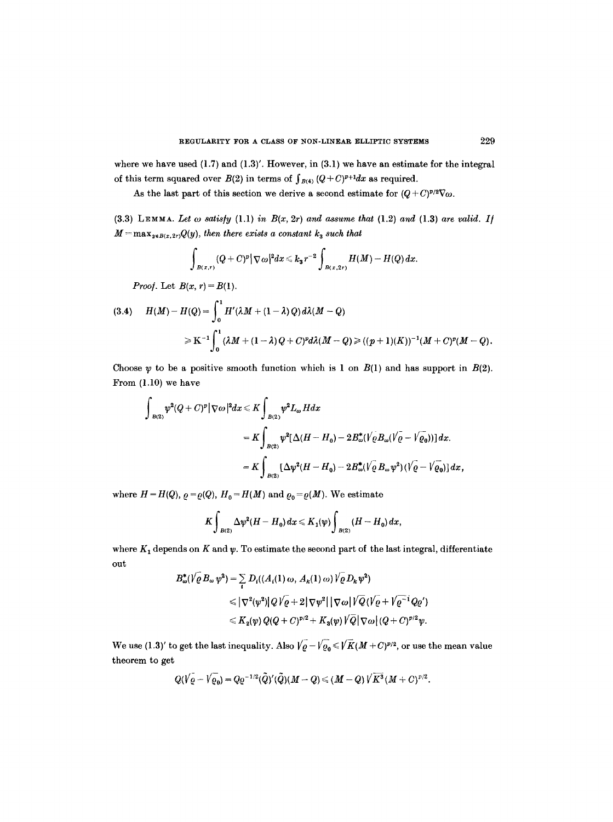where we have used  $(1.7)$  and  $(1.3)'$ . However, in  $(3.1)$  we have an estimate for the integral of this term squared over  $B(2)$  in terms of  $\int_{B(4)} (Q+C)^{p+1} dx$  as required.

As the last part of this section we derive a second estimate for  $(Q+C)^{p/2}\nabla\omega$ .

(3.3) LEMMA. Let  $\omega$  satisfy (1.1) in  $B(x, 2r)$  and assume that (1.2) and (1.3) are valid. If  $M=\max_{y\in B(x,2r)}Q(y)$ , then there exists a constant  $k_3$  such that

$$
\int_{B(x,r)} (Q+C)^p |\nabla \omega|^2 dx \leq k_3 r^{-2} \int_{B(x,2r)} H(M) - H(Q) dx.
$$

*Proof.* Let  $B(x, r) = B(1)$ .

(3.4) 
$$
H(M) - H(Q) = \int_0^1 H'(\lambda M + (1 - \lambda) Q) d\lambda (M - Q)
$$

$$
\geq K^{-1} \int_0^1 (\lambda M + (1 - \lambda) Q + C)^p d\lambda (M - Q) \geq ((p + 1)(K))^{-1} (M + C)^p (M - Q).
$$

Choose  $\psi$  to be a positive smooth function which is 1 on  $B(1)$  and has support in  $B(2)$ . From (1.10) we have

$$
\int_{B(2)} \psi^2 (Q+C)^p |\nabla \omega|^2 dx \leq K \int_{B(2)} \psi^2 L_{\omega} H dx
$$
  
=  $K \int_{B(2)} \psi^2 [\Delta (H-H_0) - 2B_{\omega}^* (\sqrt{\rho} B_{\omega} (\sqrt{\rho} - \sqrt{\rho_0}))] dx.$   
=  $K \int_{B(2)} [\Delta \psi^2 (H-H_0) - 2B_{\omega}^* (\sqrt{\rho} B_{\omega} \psi^2) (\sqrt{\rho} - \sqrt{\rho_0})] dx,$ 

where  $H = H(Q)$ ,  $\rho = \rho(Q)$ ,  $H_0 = H(M)$  and  $\rho_0 = \rho(M)$ . We estimate

$$
K\int_{B(2)}\Delta\psi^2(H-H_0)\,dx\leqslant K_1(\psi)\int_{B(2)}(H-H_0)\,dx,
$$

where  $K_1$  depends on  $K$  and  $\psi$ . To estimate the second part of the last integral, differentiate out

$$
B_{\omega}^*(\sqrt{\varrho} B_{\omega} \psi^2) = \sum_{i} D_i((A_i(1) \omega, A_k(1) \omega) \sqrt{\varrho} D_k \psi^2)
$$
  
\$\leqslant |\nabla^2(\psi^2)| Q/\varrho + 2 |\nabla \psi^2| |\nabla \omega| \sqrt{Q} (\sqrt{\varrho} + \sqrt{\varrho^{-1}} Q \varrho')\$  
\$\leqslant K\_2(\psi) Q(Q + C)^{p/2} + K\_3(\psi) \sqrt{Q} |\nabla \omega| (Q + C)^{p/2} \psi.\$

We use (1.3)' to get the last inequality. Also  $\sqrt{\varrho}-\sqrt{\varrho_0} \leqslant \sqrt{K}(M+C)^{p/2}$ , or use the mean value theorem to get

$$
Q(\sqrt{\varrho}-\sqrt{\varrho_0})=Q\varrho^{-1/2}(\tilde{Q})'(\tilde{Q})(M-Q)\leq (M-Q)\sqrt{K^3}(M+C)^{p/2}.
$$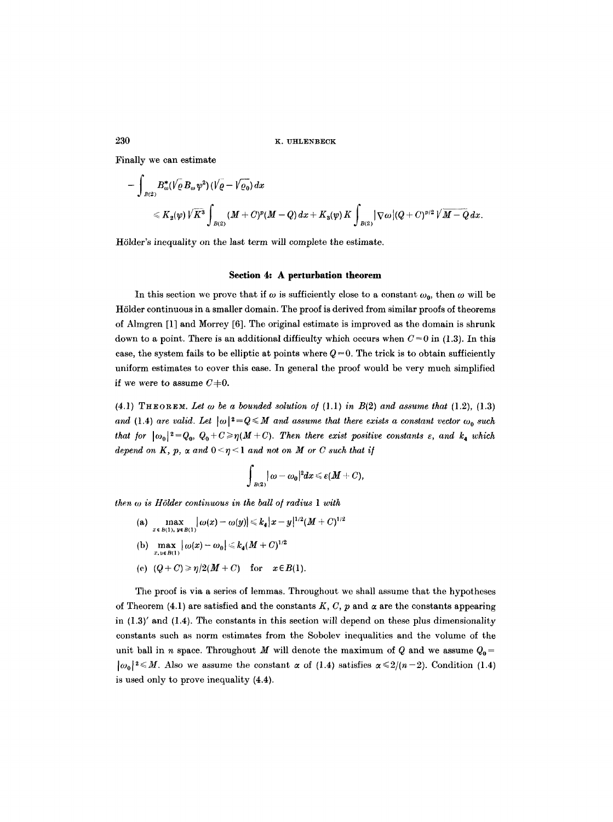Finally we can estimate

$$
-\int_{B(2)} B^{*}_{\omega}( \sqrt{\varrho} \, B_{\omega} \psi^2 ) \, ( \sqrt{\varrho} - \sqrt{\varrho_0} ) \, dx \\[2mm] \leqslant K_2(\psi) \, \sqrt{K}^3 \int_{B(2)} (M+C)^p (M-Q) \, dx + K_3(\psi) \, K \int_{B(2)} | \nabla \omega | (Q+C)^{p/2} \, \sqrt{M-Q} \, dx.
$$

Hölder's inequality on the last term will complete the estimate.

#### **Section 4: A perturbation theorem**

In this section we prove that if  $\omega$  is sufficiently close to a constant  $\omega_0$ , then  $\omega$  will be Hölder continuous in a smaller domain. The proof is derived from similar proofs of theorems of Almgren [1] and Morrey [6]. The original estimate is improved as the domain is shrunk down to a point. There is an additional difficulty which occurs when  $C=0$  in (1.3). In this case, the system fails to be elliptic at points where  $Q=0$ . The trick is to obtain sufficiently uniform estimates to cover this ease. In general the proof would be very much simplified if we were to assume  $C+0$ .

(4.1) THEOREM. Let  $\omega$  be a bounded solution of (1.1) in  $B(2)$  and assume that (1.2), (1.3) and (1.4) are valid. Let  $|\omega|^2 = Q \leq M$  and assume that there exists a constant vector  $\omega_0$  such *that for*  $|\omega_0|^2=Q_0$ ,  $Q_0+C\geq \eta(M+C)$ . Then there exist positive constants  $\varepsilon$ , and  $k_4$  which *depend on K, p,*  $\alpha$  *and*  $0 \leq \eta \leq 1$  *and not on M or C such that if* 

$$
\int_{B(2)}|\omega-\omega_0|^2dx\leqslant \varepsilon(M+C),
$$

*then*  $\omega$  *is Hölder continuous in the ball of radius 1 with* 

(a)  $\max_{x \in B(1), y \in B(1)} |\omega(x) - \omega(y)| \leq k_4 |x - y|^{1/2} (M + C)^{1/2}$ (b)  $\max_{x, y \in B(1)} |\omega(x) - \omega_0| \leq k_4 (M + C)^{1/2}$ (c)  $(Q+C) \ge \eta/2(M+C)$  for  $x \in B(1)$ .

The proof is via a series of lemmas. Throughout we shall assume that the hypotheses of Theorem (4.1) are satisfied and the constants K, C, p and  $\alpha$  are the constants appearing in  $(1.3)'$  and  $(1.4)$ . The constants in this section will depend on these plus dimensionality constants such as norm estimates from the Sobolev inequalities and the volume of the unit ball in n space. Throughout M will denote the maximum of Q and we assume  $Q_0 =$  $|\omega_0|^2 \leq M$ . Also we assume the constant  $\alpha$  of (1.4) satisfies  $\alpha \leq 2/(n-2)$ . Condition (1.4) is used only to prove inequality (4.4).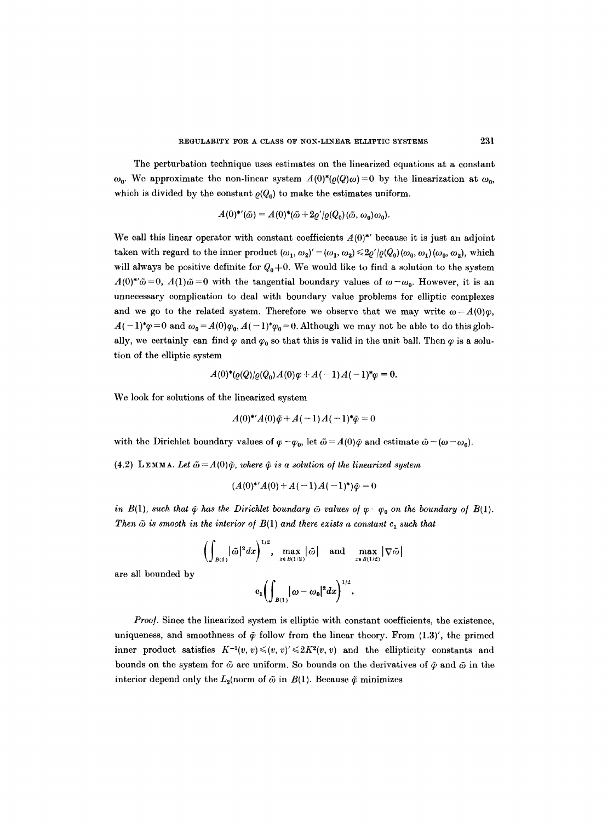The perturbation technique uses estimates on the linearized equations at a constant  $\omega_0$ . We approximate the non-linear system  $A(0)^*(\varrho(Q)\omega)=0$  by the linearization at  $\omega_0$ , which is divided by the constant  $\rho(Q_0)$  to make the estimates uniform.

$$
A(0)^{\ast\prime}(\tilde{\omega})=A(0)^{\ast}(\tilde{\omega}+2\varrho^{\prime}/\varrho(Q_0)(\tilde{\omega},\omega_0)\omega_0).
$$

We call this linear operator with constant coefficients  $A(0)^*$  because it is just an adjoint taken with regard to the inner product  $(\omega_1, \omega_2)' = (\omega_1, \omega_2) \leq 2\varrho'(\varrho(Q_0)(\omega_0, \omega_1)(\omega_0, \omega_2))$ , which will always be positive definite for  $Q_0^{\dagger}=0$ . We would like to find a solution to the system  $A(0)^{*}\tilde{\omega}=0$ ,  $A(1)\tilde{\omega}=0$  with the tangential boundary values of  $\omega-\omega_0$ . However, it is an unnecessary complication to deal with boundary value problems for elliptic complexes and we go to the related system. Therefore we observe that we may write  $\omega = A(0)\varphi$ ,  $A(-1)^{*}\varphi=0$  and  $\omega_0 = A(0)\varphi_0, A(-1)^{*}\varphi_0 = 0$ . Although we may not be able to do this globally, we certainly can find  $\varphi$  and  $\varphi_0$  so that this is valid in the unit ball. Then  $\varphi$  is a solution of the elliptic system

$$
A(0)^{*}(Q(Q)/Q(Q_{0})A(0)\varphi+A(-1)A(-1)^{*}\varphi=0.
$$

We look for solutions of the linearized system

$$
A(0)^{*'}A(0)\tilde{\varphi} + A(-1)A(-1)^{*}\tilde{\varphi} = 0
$$

with the Dirichlet boundary values of  $\varphi - \varphi_0$ , let  $\tilde{\omega} = A(0)\tilde{\varphi}$  and estimate  $\tilde{\omega} - (\omega - \omega_0)$ .

(4.2) LEMMA. Let  $\tilde{\omega} = A(0)\tilde{\varphi}$ , where  $\tilde{\varphi}$  is a solution of the linearized system

$$
(A(0)^{*'}A(0)+A(-1)A(-1)^{*})\tilde{\varphi}=0
$$

*in B(1), such that*  $\tilde{\varphi}$  *has the Dirichlet boundary*  $\tilde{\omega}$  *values of*  $\varphi \cdot \varphi_0$  *on the boundary of B(1). Then*  $\tilde{\omega}$  *is smooth in the interior of B(1) and there exists a constant*  $c_1$  *such that* 

$$
\left(\int_{B(1)} |\tilde{\omega}|^2 dx\right)^{1/2}, \max_{x \in B(1/2)} |\tilde{\omega}| \text{ and } \max_{x \in B(1/2)} |\nabla \tilde{\omega}|
$$

are all bounded by

$$
c_1\biggl(\int_{B(1)}|\omega-\omega_0|^2dx\biggr)^{1/2}.
$$

*Proof.* Since the linearized system is elliptic with constant coefficients, the existence, uniqueness, and smoothness of  $\tilde{\varphi}$  follow from the linear theory. From (1.3)', the primed inner product satisfies  $K^{-1}(v, v) \leq (v, v)' \leq 2K^2(v, v)$  and the ellipticity constants and bounds on the system for  $\tilde{\omega}$  are uniform. So bounds on the derivatives of  $\tilde{\varphi}$  and  $\tilde{\omega}$  in the interior depend only the  $L_2$ (norm of  $\tilde{\omega}$  in  $B(1)$ . Because  $\tilde{\varphi}$  minimizes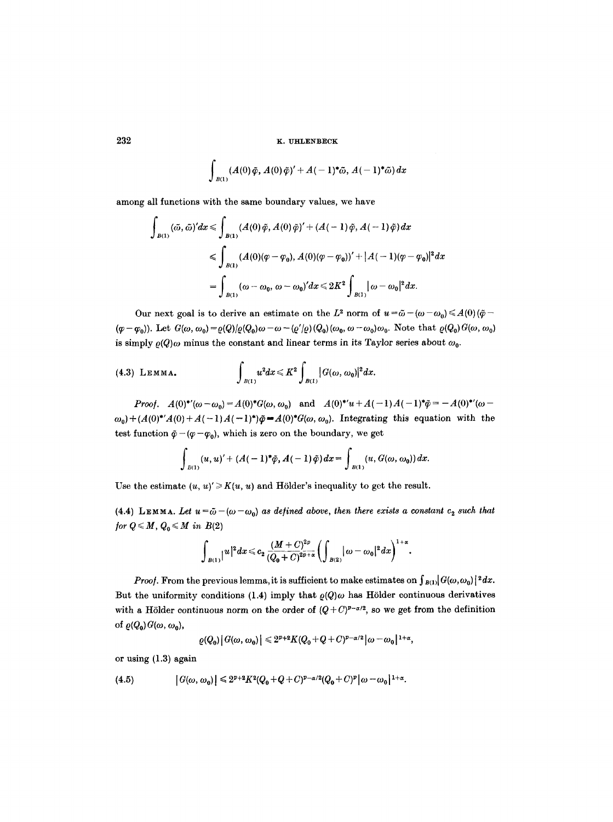$$
\int_{B(1)}(A(0)\tilde{\varphi},A(0)\tilde{\varphi})'+A(-1)^*\tilde{\omega},A(-1)^*\tilde{\omega})\,dx
$$

among all functions with the same boundary values, we have

$$
\int_{B(1)} (\tilde{\omega}, \tilde{\omega})' dx \le \int_{B(1)} (A(0)\tilde{\varphi}, A(0)\tilde{\varphi})' + (A(-1)\tilde{\varphi}, A(-1)\tilde{\varphi}) dx
$$
  
\$\le \int\_{B(1)} (A(0)(\varphi - \varphi\_0), A(0)(\varphi - \varphi\_0))' + |A(-1)(\varphi - \varphi\_0)|^2 dx\$  
= 
$$
\int_{B(1)} (\omega - \omega_0, \omega - \omega_0)' dx \le 2K^2 \int_{B(1)} |\omega - \omega_0|^2 dx.
$$

Our next goal is to derive an estimate on the L<sup>2</sup> norm of  $u=\tilde{\omega}-(\omega-\omega_0)\leq A(0)(\tilde{\varphi}-\tilde{\varphi})$  $(\varphi - \varphi_0)$ ). Let  $G(\omega, \omega_0) = \varrho(Q)/\varrho(Q_0)\omega - \omega - (\varrho'/\varrho)(Q_0)(\omega_0, \omega - \omega_0)\omega_0$ . Note that  $\varrho(Q_0)G(\omega, \omega_0)$ is simply  $\rho(Q)$  minus the constant and linear terms in its Taylor series about  $\omega_0$ .

(4.3) Lemma. 
$$
\int_{B(1)} u^2 dx \leq K^2 \int_{B(1)} |G(\omega, \omega_0)|^2 dx.
$$

*Proof.*  $A(0)^{\ast\prime}(\omega-\omega_0)=A(0)^{\ast}G(\omega,\omega_0)$  and  $A(0)^{\ast\prime}u+A(-1)A(-1)^{\ast}\tilde{\varphi}=-A(0)^{\ast\prime}(\omega-\omega_0)$  $\omega_0$ )+(A(0)\*'A(0)+A(-1)A(-1)\*) $\tilde{\varphi} = A(0)$ <sup>\*</sup> $G(\omega, \omega_0)$ . Integrating this equation with the test function  $\tilde{\varphi}-(\varphi-\varphi_0)$ , which is zero on the boundary, we get

$$
\int_{B(1)} (u, u)' + (A(-1)^*\tilde{\varphi}, A(-1)\tilde{\varphi}) dx = \int_{B(1)} (u, G(\omega, \omega_0)) dx.
$$

Use the estimate  $(u, u)' \geq K(u, u)$  and Hölder's inequality to get the result.

(4.4) LEMMA. Let  $u = \tilde{\omega} - (\omega - \omega_0)$  as defined above, then there exists a constant  $c_2$  such that *<i>for*  $Q \leqslant M$ ,  $Q_0 \leqslant M$  *in*  $B(2)$ 

$$
\int_{B(1)}|u|^2dx\leqslant c_2\,\frac{(M+C)^{2p}}{(Q_0+C)^{2p+\alpha}}\bigg(\int_{B(2)}|\,\omega-\omega_0|^2\,dx\bigg)^{1+\alpha}.
$$

*Proof.* From the previous lemma, it is sufficient to make estimates on  $\int_{B(1)}|G(\omega,\omega_0)|^2 dx$ . But the uniformity conditions (1.4) imply that  $\rho(Q)$  as Hölder continuous derivatives with a Hölder continuous norm on the order of  $(Q+C)^{p-\alpha/2}$ , so we get from the definition of  $\varrho(Q_0) G(\omega, \omega_0)$ ,

$$
\left|\varrho(Q_0)\right|G(\omega,\,\omega_0)\right|\leqslant 2^{p+2}K(Q_0+Q+C)^{p-\alpha/2}\big|\omega-\omega_0\big|^{1+\alpha},
$$

or using (1.3) again

$$
(4.5) \qquad \qquad \left| G(\omega,\omega_0) \right| \leqslant 2^{p+2} K^2 (Q_0+Q+C)^{p-\alpha/2} (Q_0+C)^p \left| \omega - \omega_0 \right|^{1+\alpha}.
$$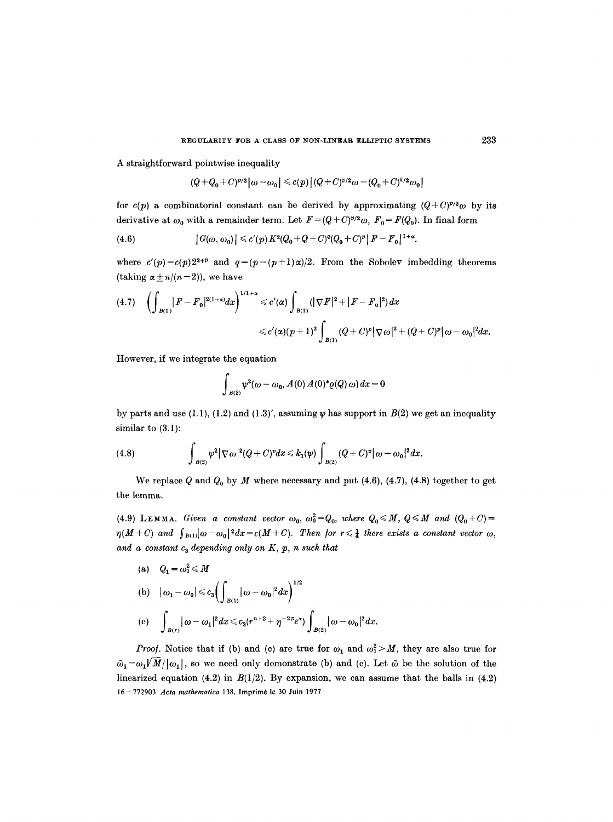A straightforward pointwise inequality

$$
(Q+Q_0+C)^{p/2}|\omega-\omega_0|\leqslant c(p)\big|(Q+C)^{p/2}\omega-(Q_0+C)^{k/2}\omega_0\big|
$$

for  $c(p)$  a combinatorial constant can be derived by approximating  $(Q+C)^{p/2}\omega$  by its derivative at  $\omega_0$  with a remainder term. Let  $F = (Q + C)^{p/2} \omega$ ,  $F_0 = F(Q_0)$ . In final form

(4.6) 
$$
|G(\omega, \omega_0)| \leq c'(p) K^2(Q_0+Q+C)^q(Q_0+C)^p |F-F_0|^{1+\alpha}.
$$

where  $c'(p)=c(p)2^{2+p}$  and  $q=(p-(p+1)\alpha)/2$ . From the Sobolev imbedding theorems (taking  $\alpha \pm n/(n-2)$ ), we have

$$
(4.7) \quad \left(\int_{B(1)}|F-F_0|^{2(1+\alpha)}dx\right)^{1/1+\alpha}\leqslant c'(\alpha)\int_{B(1)}(|\nabla F|^2+|F-F_0|^2)dx\\ \leqslant c'(\alpha)(p+1)^2\int_{B(1)}(Q+C)^p|\nabla\omega|^2+(Q+C)^p|\omega-\omega_0|^2dx.
$$

However, if we integrate the equation

$$
\int_{B(2)} \psi^2(\omega - \omega_0, A(0) A(0)^* \varrho(Q) \omega) dx = 0
$$

by parts and use (1.1), (1.2) and (1.3)', assuming  $\psi$  has support in  $B(2)$  we get an inequality similar to (3.1):

(4.8) 
$$
\int_{B(2)} \psi^2 |\nabla \omega|^2 (Q+C)^p dx \leq k_1(\psi) \int_{B(2)} (Q+C)^p |\omega-\omega_0|^2 dx.
$$

We replace Q and  $Q_0$  by M where necessary and put (4.6), (4.7), (4.8) together to get the lemma.

(4.9) LEMMA. *Given a constant vector*  $\omega_0$ ,  $\omega_0^2 = Q_0$ , *where*  $Q_0 \leq M$ ,  $Q \leq M$  and  $(Q_0 + C)$  $\eta(M+C)$  and  $\int_{B(1)}\omega-\omega_0|^2dx=\varepsilon(M+C)$ . Then for  $r\leq \frac{1}{4}$  there exists a constant vector  $\omega$ , and a constant  $c_3$  depending only on K, p, n such that

(a) 
$$
Q_1 = \omega_1^2 \le M
$$
  
\n(b)  $|\omega_1 - \omega_0| \le c_3 \left( \int_{B(1)} |\omega - \omega_0|^2 dx \right)^{1/2}$   
\n(c)  $\int_{B(r)} |\omega - \omega_1|^2 dx \le c_3 (r^{n+2} + \eta^{-2p} \varepsilon^{\alpha}) \int_{B(2)} |\omega - \omega_0|^2 dx$ .

*Proof.* Notice that if (b) and (c) are true for  $\omega_1$  and  $\omega_1^2 > M$ , they are also true for  $\tilde{\omega}_1 = \omega_1/\tilde{M}/|\omega_1|$ , so we need only demonstrate (b) and (c). Let  $\tilde{\omega}$  be the solution of the linearized equation (4.2) in  $B(1/2)$ . By expansion, we can assume that the balls in (4.2) 16- 772903 *Acta mathematica* 138. Imprim6 le 30 Juin 1977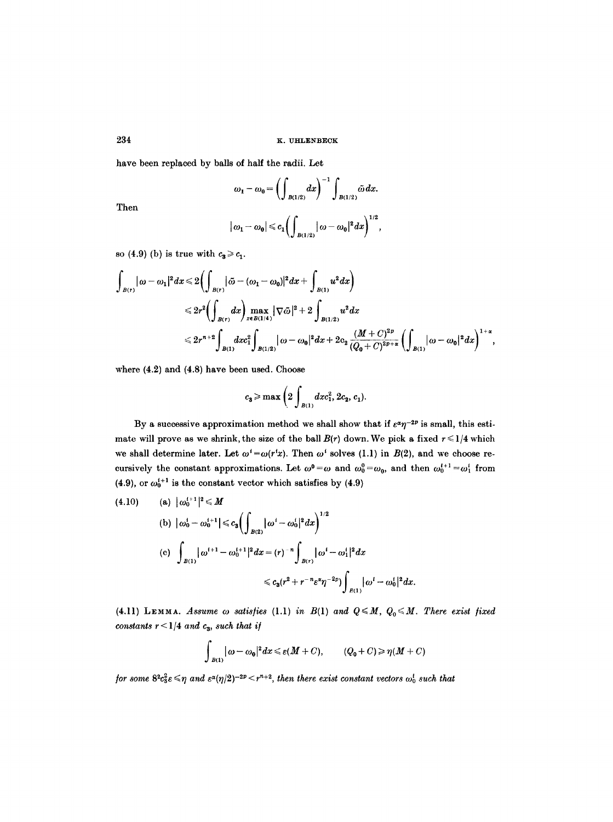have been replaced by balls of half the radii. Let

$$
\omega_1 - \omega_0 = \left( \int_{B(1/2)} dx \right)^{-1} \int_{B(1/2)} \tilde{\omega} \, dx.
$$

Then

$$
|\omega_1-\omega_0|\!\leqslant\! c_1\!\!\left(\int_{B(1/2)}\!\|\omega-\omega_0|^2dx\right)^{\!1/2}\!,
$$

so (4.9) (b) is true with  $c_3 \geq c_1$ .

$$
\begin{aligned} \int_{B(r)} |\omega - \omega_1|^2 dx \leqslant & 2 \biggl( \int_{B(r)} |\tilde{\omega} - (\omega_1 - \omega_0)|^2 dx + \int_{B(1)} u^2 dx \biggr) \\ \leqslant & 2r^2 \biggl( \int_{B(r)} dx \biggr) \max_{x \in B(1/4)} |\nabla \tilde{\omega}|^2 + 2 \int_{B(1/2)} u^2 dx \\ \leqslant & 2r^{n+2} \int_{B(1)} dxc_1^2 \int_{B(1/2)} |\omega - \omega_0|^2 dx + 2c_2 \frac{(M+C)^{2p}}{(Q_0+C)^{2p+\alpha}} \biggl( \int_{B(1)} |\omega - \omega_0|^2 dx \biggr)^{1+\alpha}, \end{aligned}
$$

where (4.2) and (4.8) have been used. Choose

$$
c_3 \ge \max\left(2 \int_{B(1)} dx c_1^2, 2c_2, c_1\right).
$$

By a successive approximation method we shall show that if  $\varepsilon^{\alpha} \eta^{-2p}$  is small, this estimate will prove as we shrink, the size of the ball  $B(r)$  down. We pick a fixed  $r \leq 1/4$  which we shall determine later. Let  $\omega^i = \omega(r^i x)$ . Then  $\omega^i$  solves (1.1) in  $B(2)$ , and we choose recursively the constant approximations. Let  $\omega^0 = \omega$  and  $\omega_0^0 = \omega_0$ , and then  $\omega_0^{i+1} = \omega_1^i$  from (4.9), or  $\omega_0^{i+1}$  is the constant vector which satisfies by (4.9)

(4.10) (a) 
$$
|\omega_0^{t+1}|^2 \le M
$$
  
\n(b)  $|\omega_0^t - \omega_0^{t+1}| \le c_3 \left( \int_{B(2)} |\omega^t - \omega_0^t|^2 dx \right)^{1/2}$   
\n(c)  $\int_{B(1)} |\omega^{t+1} - \omega_0^{t+1}|^2 dx = (r)^{-n} \int_{B(r)} |\omega^t - \omega_1^t|^2 dx$   
\n $\le c_3 (r^2 + r^{-n} \varepsilon^2 \eta^{-2p}) \int_{B(1)} |\omega^t - \omega_0^t|^2 dx.$ 

(4.11) LEMMA. *Assume*  $\omega$  *satisfies* (1.1) *in B*(1) *and Q*  $\leq M$ ,  $Q_0 \leq M$ . There exist fixed *constants*  $r < 1/4$  *and*  $c_3$ *, such that if* 

$$
\int_{B(1)} |\omega - \omega_0|^2 dx \leq \varepsilon(M+C), \qquad (Q_0+C) \geq \eta(M+C)
$$

*for some*  $8^2c_3^2 \varepsilon \leq \eta$  and  $\varepsilon^{\alpha}(\eta/2)^{-2p} \leq r^{n+2}$ , then there exist constant vectors  $\omega_0^i$  such that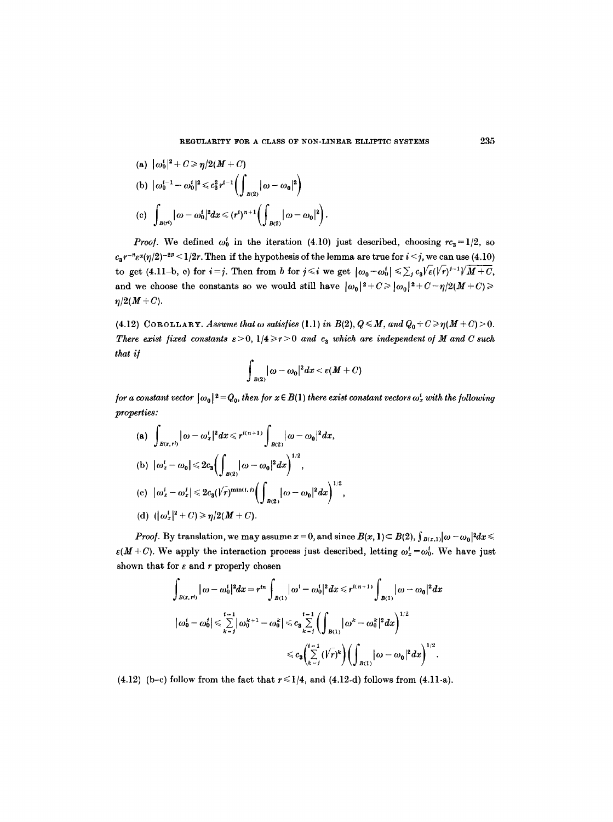(a) 
$$
|\omega_0^1|^2 + C \ge \eta/2(M + C)
$$
  
\n(b)  $|\omega_0^{i-1} - \omega_0^i|^2 \le c_3^2 r^{i-1} \left( \int_{B(2)} |\omega - \omega_0|^2 \right)$   
\n(c)  $\int_{B(r^i)} |\omega - \omega_0^i|^2 dx \le (r^i)^{n+1} \left( \int_{B(2)} |\omega - \omega_0|^2 \right).$ 

*Proof.* We defined  $\omega_0^i$  in the iteration (4.10) just described, choosing  $rc_3=1/2$ , so  $c_3r^{-n}\epsilon^{\alpha}(\eta/2)^{-2p} \leq 1/2r$ . Then if the hypothesis of the lemma are true for  $i \leq j$ , we can use (4.10) to get (4.11-b, c) for  $i=j$ . Then from b for  $j \leq i$  we get  $|\omega_0-\omega_0^i| \leq \sum_j c_3 \sqrt{\varepsilon} (\sqrt{r})^{j-1} \sqrt{M+C}$ , and we choose the constants so we would still have  $|\omega_0|^2 + C \geq |\omega_0|^2 + C - \eta/2(M+C) \geq$  $\eta/2(M+C)$ .

(4.12) COROLLARY. *Assume that*  $\omega$  *satisfies* (1.1) *in B(2),*  $Q \leq M$ *, and*  $Q_0 + C \geq \eta(M + C) > 0$ . *There exist fixed constants*  $\epsilon > 0$ *,*  $1/4 \ge r > 0$  *and*  $c_3$  *which are independent of M and C such that i[* 

$$
\int_{B(2)} |\omega - \omega_0|^2 dx < \varepsilon(M+C)
$$

*for a constant vector*  $|\omega_0|^2 = Q_0$ , *then for*  $x \in B(1)$  *there exist constant vectors*  $\omega_x^i$  *with the following properties:* 

(a) 
$$
\int_{B(x,r^l)} |\omega - \omega_x^i|^2 dx \le r^{i(n+1)} \int_{B(2)} |\omega - \omega_0|^2 dx
$$
,  
\n(b)  $|\omega_x^i - \omega_0| \le 2c_3 \Big( \int_{B(2)} |\omega - \omega_0|^2 dx \Big)^{1/2}$ ,  
\n(c)  $|\omega_x^i - \omega_x^i| \le 2c_3 (1/n)^{\min(i, l)} \Big( \int_{B(2)} |\omega - \omega_0|^2 dx \Big)^{1/2}$ ,  
\n(d)  $(|\omega_x^i|^2 + C) \ge \eta/2(M + C)$ .

*Proof.* By translation, we may assume  $x = 0$ , and since  $B(x, 1) \subset B(2)$ ,  $\int_{B(x, 1)} |\omega - \omega_0|^2 dx \le$  $\varepsilon(M+C)$ . We apply the interaction process just described, letting  $\omega_x^t = \omega_0^t$ . We have just shown that for  $\varepsilon$  and  $r$  properly chosen

$$
\int_{B(x,r^i)} |\omega - \omega_0^i|^2 dx = r^{in} \int_{B(1)} |\omega^i - \omega_0^i|^2 dx \leq r^{i(n+1)} \int_{B(1)} |\omega - \omega_0|^2 dx
$$
  

$$
|\omega_0^i - \omega_0^i| \leq \sum_{k=1}^{i-1} |\omega_0^{k+1} - \omega_0^k| \leq c_3 \sum_{k=1}^{i-1} (\int_{B(1)} |\omega^k - \omega_0^k|^2 dx)^{1/2}
$$
  

$$
\leq c_3 (\sum_{k=1}^{i-1} (\sqrt{r})^k) (\int_{B(1)} |\omega - \omega_0|^2 dx)^{1/2}.
$$

(4.12) (b-c) follow from the fact that  $r \leq 1/4$ , and (4.12-d) follows from (4.11-a).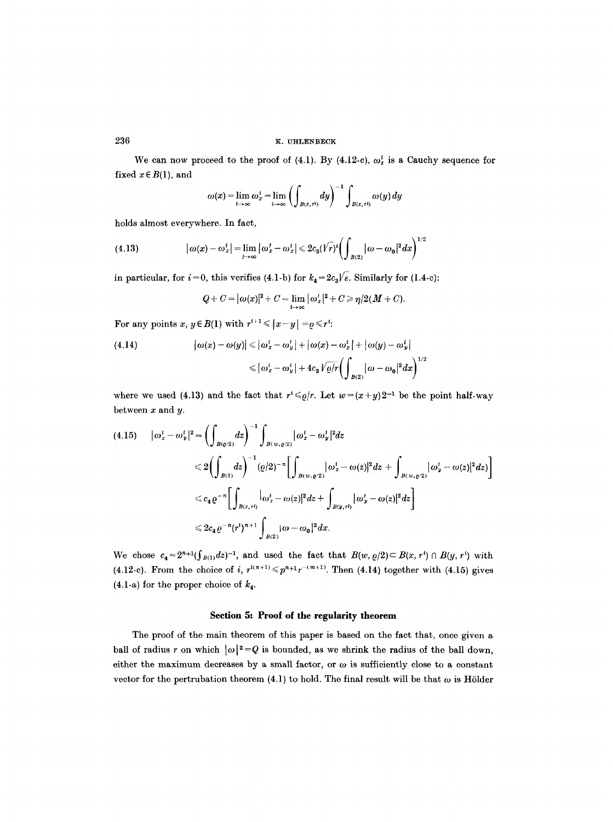## 236 **EXECUTE:** EXECUTE **EXECUTE:** EXECUTE **EXECUTE:** EXECUTE **EXECUTE:** EXECUTE 236

We can now proceed to the proof of (4.1). By (4.12-c),  $\omega_x^i$  is a Cauchy sequence for fixed  $x \in B(1)$ , and

$$
\omega(x) = \lim_{t \to \infty} \omega_x^t = \lim_{t \to \infty} \left( \int_{B(x, r^t)} dy \right)^{-1} \int_{B(x, r^t)} \omega(y) dy
$$

holds almost everywhere. In fact,

(4.13) 
$$
|\omega(x) - \omega_x^i| = \lim_{j \to \infty} |\omega_x^j - \omega_x^i| \leq 2c_3(\sqrt{r})^i \left( \int_{B(2)} |\omega - \omega_0|^2 dx \right)^{1/2}
$$

in particular, for  $i=0$ , this verifies (4.1-b) for  $k_4 = 2c_3/\sqrt{e}$ . Similarly for (1.4-c):

$$
Q+C=|\omega(x)|^2+C=\lim_{i\to\infty}|\omega_x^i|^2+C\geq \eta/2(M+C).
$$

For any points x,  $y \in B(1)$  with  $r^{i+1} \le |x-y| = \varrho \le r^i$ :

(4.14) 
$$
\left|\omega(x)-\omega(y)\right|\leqslant |\omega_x^i-\omega_y^i|+|\omega(x)-\omega_x^i|+|\omega(y)-\omega_y^i| \leqslant |\omega_x^i-\omega_y^i|+4c_3\sqrt{\varrho/r}\bigg(\int_{B(2)}|\omega-\omega_0|^2dx\bigg)^{1/2}
$$

where we used (4.13) and the fact that  $r^* \leqslant \rho/r$ . Let  $w = (x+y)2^{-1}$  be the point half-way between  $x$  and  $y$ .

$$
(4.15) \qquad |\omega_x^i - \omega_y^i|^2 = \left(\int_{B(Q/2)} dz\right)^{-1} \int_{B(w,\varrho/2)} |\omega_x^i - \omega_y^i|^2 dz
$$
  

$$
\leq 2 \left(\int_{B(1)} dz\right)^{-1} (\varrho/2)^{-n} \left[\int_{B(w,\varrho/2)} |\omega_x^i - \omega(z)|^2 dz + \int_{B(w,\varrho/2)} |\omega_y^i - \omega(z)|^2 dz\right]
$$
  

$$
\leq c_4 \varrho^{-n} \left[\int_{B(x,\tau^i)} |\omega_x^i - \omega(z)|^2 dz + \int_{B(y,\tau^i)} |\omega_y^i - \omega(z)|^2 dz\right]
$$
  

$$
\leq 2c_4 \varrho^{-n} (\tau^i)^{n+1} \int_{B(2)} |\omega - \omega_0|^2 dx.
$$

We chose  $c_4 = 2^{n+1}(\int_{B(1)} dz)^{-1}$ , and used the fact that  $B(w, \rho/2) \subset B(x, r') \cap B(y, r')$  with (4.12-c). From the choice of i,  $r^{i(n+1)} \leq p^{n+1} r^{-(m+1)}$ . Then (4.14) together with (4.15) gives (4.1-a) for the proper choice of  $k_4$ .

# Section 5: Proof of the regularity theorem

The proof of the main theorem of this paper is based on the fact that, once given a ball of radius r on which  $|\omega|^2=Q$  is bounded, as we shrink the radius of the ball down, either the maximum decreases by a small factor, or  $\omega$  is sufficiently close to a constant vector for the pertrubation theorem (4.1) to hold. The final result will be that  $\omega$  is Hölder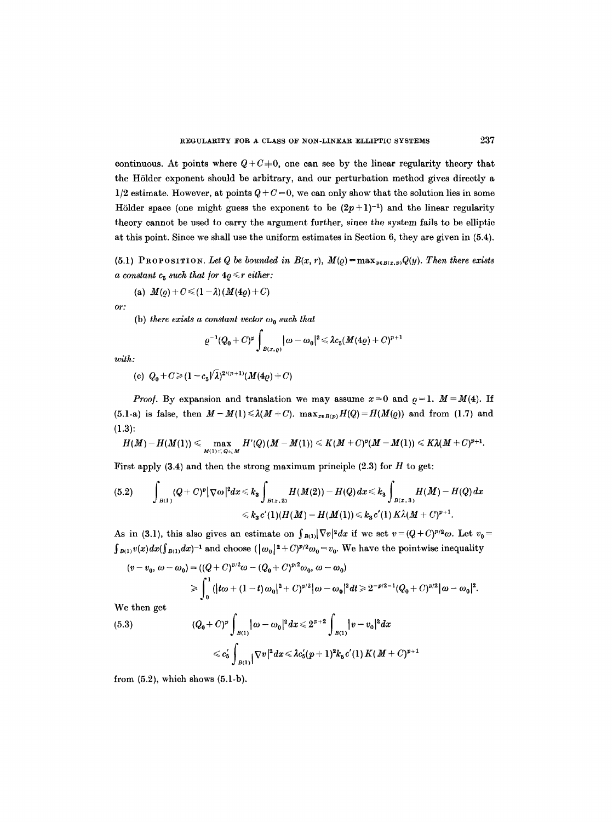continuous. At points where  $Q + C = 0$ , one can see by the linear regularity theory that the HSlder exponent should be arbitrary, and our perturbation method gives directly a  $1/2$  estimate. However, at points  $Q + C = 0$ , we can only show that the solution lies in some Hölder space (one might guess the exponent to be  $(2p+1)^{-1}$ ) and the linear regularity theory cannot be used to carry the argument further, since the system fails to be elliptic at this point. Since we shall use the uniform estimates in Section 6, they are given in (5.4).

(5.1) PROPOSITION. Let Q be bounded in  $B(x, r)$ ,  $M(\rho) = \max_{y \in B(x, p)} Q(y)$ . Then there exists *a constant c<sub>5</sub> such that for*  $4\varrho \le r$  *either:* 

(a) 
$$
M(\rho) + C \leq (1 - \lambda) (M(4\rho) + C)
$$

*or:* 

(b) there exists a constant vector 
$$
\omega_0
$$
 such that

$$
\varrho^{-1}(Q_0+C)^p\int_{B(x,\varrho)}|\omega-\omega_0|^2\leqslant \lambda c_5(M(4\varrho)+C)^{p+1}
$$

*with:* 

(c) 
$$
Q_0 + C \ge (1 - c_5/\lambda)^{2/(p+1)} (M(4\varrho) + C)
$$

*Proof.* By expansion and translation we may assume  $x=0$  and  $\rho=1$ ,  $M=M(4)$ . If (5.1-a) is false, then  $M-M(1) \le \lambda(M+C)$ .  $\max_{x \in B(p)} H(Q) = H(M(\varrho))$  and from (1.7) and (1.3):

$$
H(M)-H(M(1))\leqslant \max_{M(1)\leqslant Q\leqslant M}H'(Q)(M-M(1))\leqslant K(M+C)^p(M-M(1))\leqslant K\lambda(M+C)^{p+1}.
$$

First apply  $(3.4)$  and then the strong maximum principle  $(2.3)$  for H to get:

$$
(5.2) \qquad \int_{B(1)} (Q+C)^p |\nabla \omega|^2 dx \leq k_3 \int_{B(x,2)} H(M(2)) - H(Q) dx \leq k_3 \int_{B(x,3)} H(M) - H(Q) dx
$$
  

$$
\leq k_3 c'(1)(H(M) - H(M(1)) \leq k_3 c'(1) K \lambda (M+C)^{p+1}.
$$

As in (3.1), this also gives an estimate on  $\int_{B(1)}|\nabla v|^2 dx$  if we set  $v=(Q+C)^{p/2}\omega$ . Let  $v_0=$  $\int_{B(1)} v(x) dx (\int_{B(1)} dx)^{-1}$  and choose  $(|\omega_0|^2 + C)^{p/2} \omega_0 = v_0$ . We have the pointwise inequality

$$
(v - v_0, \omega - \omega_0) = ((Q + C)^{p/2} \omega - (Q_0 + C)^{p/2} \omega_0, \omega - \omega_0)
$$
  
\n
$$
\geq \int_0^1 (|t\omega + (1-t)\omega_0|^2 + C)^{p/2} |\omega - \omega_0|^2 dt \geq 2^{-p/2-1} (Q_0 + C)^{p/2} |\omega - \omega_0|^2.
$$

We then get

(5.3) 
$$
(Q_0 + C)^p \int_{B(1)} |\omega - \omega_0|^2 dx \leq 2^{p+2} \int_{B(1)} |v - v_0|^2 dx
$$

$$
\leq c'_5 \int_{B(1)} |\nabla v|^2 dx \leq \lambda c'_5 (p+1)^2 k_5 c'(1) K (M+C)^{p+1}
$$

from  $(5.2)$ , which shows  $(5.1-b)$ .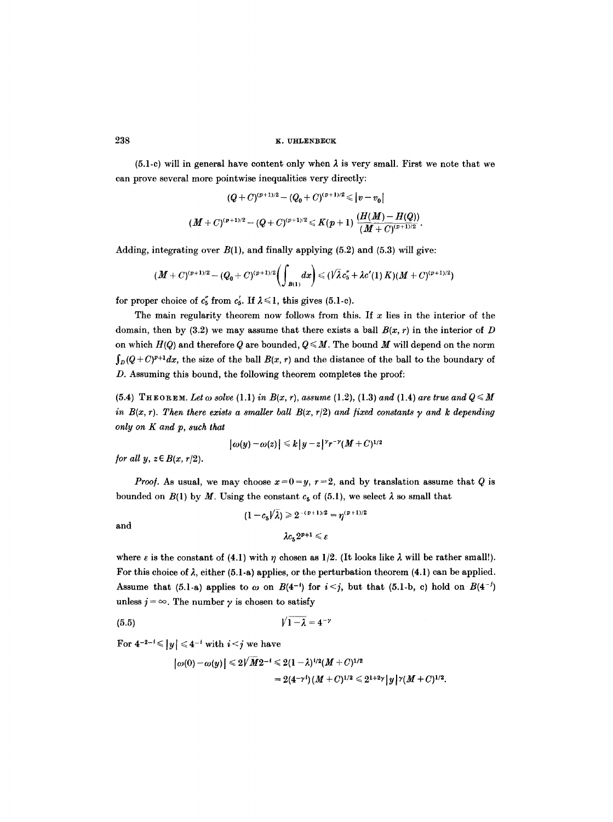$(5.1-c)$  will in general have content only when  $\lambda$  is very small. First we note that we can prove several more pointwise inequalities very directly:

$$
\begin{aligned} (Q+C)^{(p+1)/2} - (Q_0+C)^{(p+1)/2} &\leqslant |v-v_0| \\ (M+C)^{(p+1)/2} - (Q+C)^{(p+1)/2} &\leqslant K(p+1)\ \frac{(H(M)-H(Q))}{(M+C)^{(p+1)/2}}. \end{aligned}
$$

Adding, integrating over  $B(1)$ , and finally applying (5.2) and (5.3) will give:

$$
(M+C)^{(p+1)/2}-(Q_0+C)^{(p+1)/2}\bigg(\int_{B(1)}dx\bigg) \leq (\sqrt{\lambda}c''_5+\lambda c'(1)K)(M+C)^{(p+1)/2})
$$

for proper choice of  $c''_5$  from  $c'_5$ . If  $\lambda \leq 1$ , this gives (5.1-c).

The main regularity theorem now follows from this. If  $x$  lies in the interior of the domain, then by (3.2) we may assume that there exists a ball  $B(x, r)$  in the interior of D on which  $H(Q)$  and therefore Q are bounded,  $Q \leq M$ . The bound M will depend on the norm  $\int_{D}(Q + C)^{p+1}dx$ , the size of the ball  $B(x, r)$  and the distance of the ball to the boundary of D. Assuming this bound, the following theorem completes the proof:

 $(5.4)$  THEOREM. Let  $\omega$  solve  $(1.1)$  in  $B(x, r)$ , assume  $(1.2)$ ,  $(1.3)$  and  $(1.4)$  are true and  $Q \leq M$ *in B(x, r). Then there exists a smaller ball B(x, r/2) and fixed constants*  $\gamma$  *and k depending only on K and p, such that* 

$$
|\omega(y)-\omega(z)| \leq k |y-z|^{\gamma} r^{-\gamma} (M+C)^{1/2}
$$

*<i>for all y, z* ∈ *B*(*x, r*/2).

*Proof.* As usual, we may choose  $x=0=y$ ,  $r=2$ , and by translation assume that Q is bounded on  $B(1)$  by M. Using the constant  $c_5$  of (5.1), we select  $\lambda$  so small that

and 
$$
(1-c_5/\lambda) \geq 2^{-(p+1)/2} = \eta^{(p+1)/2}
$$

$$
\lambda c_5 2^{p+1} \leq \varepsilon
$$

where  $\varepsilon$  is the constant of (4.1) with  $\eta$  chosen as 1/2. (It looks like  $\lambda$  will be rather small!). For this choice of  $\lambda$ , either (5.1-a) applies, or the perturbation theorem (4.1) can be applied. Assume that (5.1-a) applies to  $\omega$  on  $B(4^{-i})$  for  $i < j$ , but that (5.1-b, c) hold on  $B(4^{-j})$ unless  $j = \infty$ . The number  $\gamma$  is chosen to satisfy

**(5.5)** VI-~ **= 4-~** 

For  $4^{-2-i} \le |y| \le 4^{-i}$  with  $i < j$  we have

$$
\begin{aligned} \left| \, \omega(0) - \omega(y) \, \right| & \leq 2 \sqrt{M} 2^{-i} \leq 2 (1 - \lambda)^{i/2} (M + C)^{1/2} \\ & = 2 (4^{-\gamma \, t}) \, (M + C)^{1/2} \leq 2^{1 + 2\gamma} \, | \, y \, |^{\gamma} (M + C)^{1/2}. \end{aligned}
$$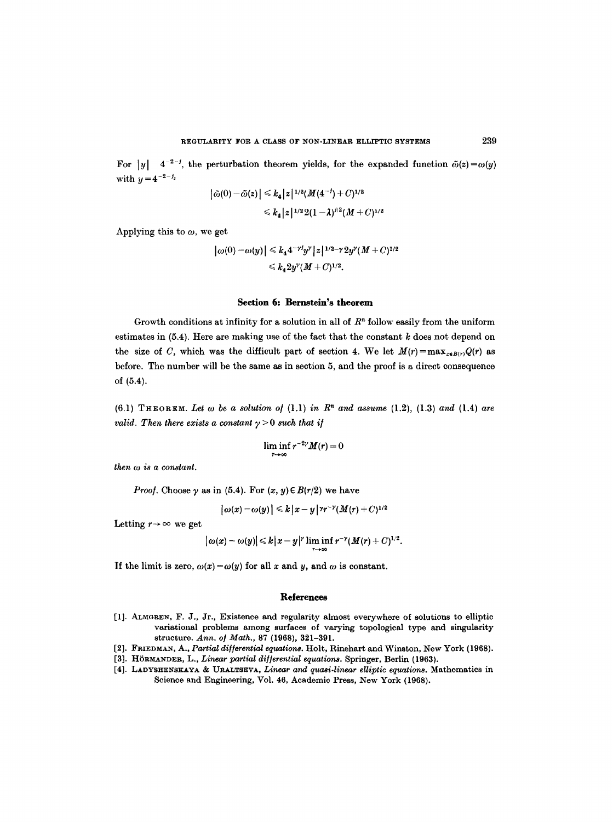For  $|y| = 4^{-2-j}$ , the perturbation theorem yields, for the expanded function  $\tilde{\omega}(z) = \omega(y)$ with  $y = 4^{-2-j_z}$ 

$$
|\tilde{\omega}(0) - \tilde{\omega}(z)| \le k_4 |z|^{1/2} (M(4^{-j}) + C)^{1/2}
$$
  

$$
\le k_4 |z|^{1/2} 2(1 - \lambda)^{j/2} (M + C)^{1/2}
$$

Applying this to  $\omega$ , we get

$$
|\omega(0) - \omega(y)| \le k_4 4^{-\gamma \frac{1}{2}} y^{\gamma} |z|^{1/2 - \gamma} 2y^{\gamma} (M + C)^{1/2}
$$
  
  $\le k_4 2y^{\gamma} (M + C)^{1/2}.$ 

#### **Section 6: Bernstein's theorem**

Growth conditions at infinity for a solution in all of  $R<sup>n</sup>$  follow easily from the uniform estimates in  $(5.4)$ . Here are making use of the fact that the constant  $k$  does not depend on the size of C, which was the difficult part of section 4. We let  $M(r) = \max_{x \in B(r)} Q(r)$  as before. The number will be the same as in section 5, and the proof is a direct consequence of **(5.4).** 

(6.1) THEOREM. Let  $\omega$  be a solution of (1.1) in  $\mathbb{R}^n$  and assume (1.2), (1.3) and (1.4) are *valid. Then there exists a constant*  $\gamma > 0$  *such that if* 

$$
\liminf_{r\to\infty}r^{-2\gamma}M(r)=0
$$

*then oo is a constant.* 

*Proof.* Choose  $\gamma$  as in (5.4). For  $(x, y) \in B(r/2)$  we have

$$
|\omega(x)-\omega(y)| \leq k |x-y|^{\gamma r^{-\gamma}} (M(r)+C)^{1/2}
$$

Letting  $r \rightarrow \infty$  we get

$$
|\omega(x)-\omega(y)| \leq k|x-y|^{\gamma}\liminf_{r\to\infty}r^{-\gamma}(M(r)+C)^{1/2}.
$$

If the limit is zero,  $\omega(x) = \omega(y)$  for all x and y, and  $\omega$  is constant.

#### **References**

- [1]. ALMGREN, F. J., Jr., Existence and regularity almost everywhere of solutions to elliptic variational problems among surfaces of varying topological type and singularity structure. Ann. of Math., 87 (1968), 321-391.
- [2]. FRIEDMAN, A., *Partial di/Jerential equations.* Holt, Rinehart and Winston, New York (1968).
- [3]. HÖRMANDER, L., *Linear partial differential equations*. Springer, Berlin (1963).
- [4]. LADYSHENSKAYA & URALTSEVA, *Linear and quasi-linear elliptic equations*. Mathematics in Science and Engineering, Vol. 46, Academic Press, New York (1968).